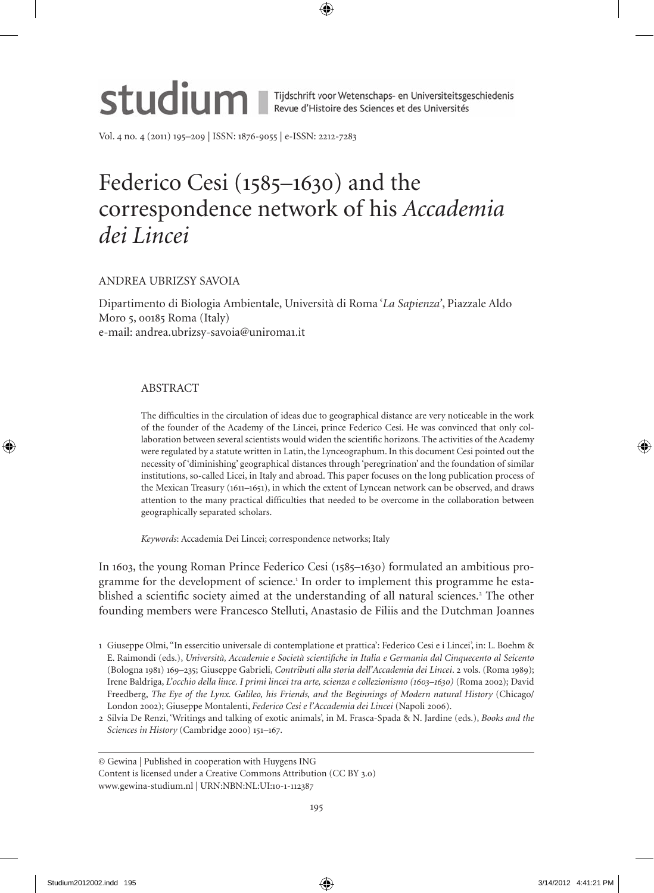# Studium I Tijdschrift voor Wetenschaps- en Universiteitsgeschiedenis

Vol. 4 no. 4 (2011) 195-209 | ISSN: 1876-9055 | e-ISSN: 2212-7283

# Federico Cesi (1585-1630) and the correspondence network of his *Accademia dei Lincei*

# ANdReA UBRIzSY SAVoIA

dipartimento di Biologia Ambientale, Università di Roma '*La Sapienza'*, Piazzale Aldo Moro 5, 00185 Roma (Italy) e-mail: andrea.ubrizsy-savoia@uniroma1.it

# **ABSTRACT**

The difficulties in the circulation of ideas due to geographical distance are very noticeable in the work of the founder of the Academy of the Lincei, prince Federico Cesi. He was convinced that only collaboration between several scientists would widen the scientific horizons. the activities of the Academy were regulated by a statute written in Latin, the Lynceographum. In this document Cesi pointed out the necessity of 'diminishing' geographical distances through 'peregrination' and the foundation of similar institutions, so-called Licei, in Italy and abroad. this paper focuses on the long publication process of the Mexican Treasury (1611–1651), in which the extent of Lyncean network can be observed, and draws attention to the many practical difficulties that needed to be overcome in the collaboration between geographically separated scholars.

Keywords: Accademia Dei Lincei; correspondence networks; Italy

In 1603, the young Roman Prince Federico Cesi (18–1630) formulated an ambitious programme for the development of science.<sup>1</sup> In order to implement this programme he established a scientific society aimed at the understanding of all natural sciences.<sup>2</sup> The other founding members were Francesco Stelluti, Anastasio de Filiis and the Dutchman Joannes

- 1 Giuseppe olmi, ''In essercitio universale di contemplatione et prattica': Federico Cesi e i Lincei', in: L. Boehm & e. Raimondi (eds.), *Università, Accademie e Società scientifiche in Italia e Germania dal Cinquecento al Seicento* (Bologna 181) 16–23; Giuseppe Gabrieli, *Contributi alla storia dell'Accademia dei Lincei*. 2 vols. (Roma 18); Irene Baldriga, *L'occhio della lince. I primi lincei tra arte, scienza e collezionismo (1603–1630)* (Roma 2002); david Freedberg, *The Eye of the Lynx. Galileo, his Friends, and the Beginnings of Modern natural History* (Chicago/ London 2002); Giuseppe Montalenti, *Federico Cesi e l'Accademia dei Lincei* (Napoli 2006).
- 2 Silvia de Renzi, 'Writings and talking of exotic animals', in M. Frasca-Spada & N. Jardine (eds.), *Books and the*  Sciences in History (Cambridge 2000) 151-167.

© Gewina | Published in cooperation with Huygens ING Content is licensed under a Creative Commons Attribution (CC BY 3.0)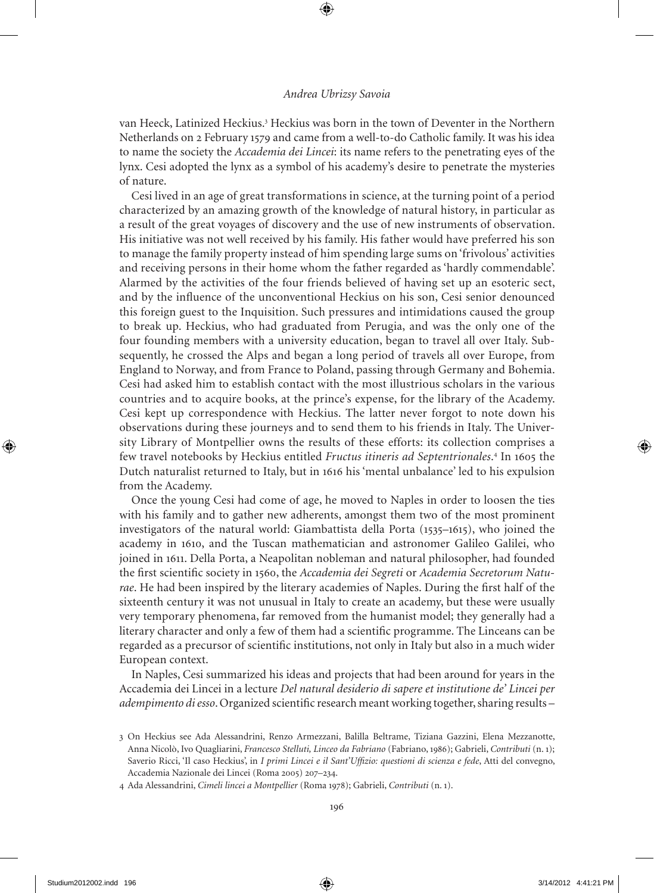van Heeck, Latinized Heckius.<sup>3</sup> Heckius was born in the town of Deventer in the Northern Netherlands on 2 February 1579 and came from a well-to-do Catholic family. It was his idea to name the society the *Accademia dei Lincei*: its name refers to the penetrating eyes of the lynx. Cesi adopted the lynx as a symbol of his academy's desire to penetrate the mysteries of nature.

Cesi lived in an age of great transformations in science, at the turning point of a period characterized by an amazing growth of the knowledge of natural history, in particular as a result of the great voyages of discovery and the use of new instruments of observation. His initiative was not well received by his family. His father would have preferred his son to manage the family property instead of him spending large sums on 'frivolous' activities and receiving persons in their home whom the father regarded as 'hardly commendable'. Alarmed by the activities of the four friends believed of having set up an esoteric sect, and by the influence of the unconventional Heckius on his son, Cesi senior denounced this foreign guest to the Inquisition. Such pressures and intimidations caused the group to break up. Heckius, who had graduated from Perugia, and was the only one of the four founding members with a university education, began to travel all over Italy. Subsequently, he crossed the Alps and began a long period of travels all over Europe, from england to Norway, and from France to Poland, passing through Germany and Bohemia. Cesi had asked him to establish contact with the most illustrious scholars in the various countries and to acquire books, at the prince's expense, for the library of the Academy. Cesi kept up correspondence with Heckius. The latter never forgot to note down his observations during these journeys and to send them to his friends in Italy. The University Library of Montpellier owns the results of these efforts: its collection comprises a few travel notebooks by Heckius entitled Fructus itineris ad Septentrionales.<sup>4</sup> In 1605 the Dutch naturalist returned to Italy, but in 1616 his 'mental unbalance' led to his expulsion from the Academy.

Once the young Cesi had come of age, he moved to Naples in order to loosen the ties with his family and to gather new adherents, amongst them two of the most prominent investigators of the natural world: Giambattista della Porta (1535–1615), who joined the academy in 1610, and the tuscan mathematician and astronomer Galileo Galilei, who joined in 1611. Della Porta, a Neapolitan nobleman and natural philosopher, had founded the first scientific society in 160, the *Accademia dei Segreti* or *Academia Secretorum Natu*rae. He had been inspired by the literary academies of Naples. During the first half of the sixteenth century it was not unusual in Italy to create an academy, but these were usually very temporary phenomena, far removed from the humanist model; they generally had a literary character and only a few of them had a scientific programme. the Linceans can be regarded as a precursor of scientific institutions, not only in Italy but also in a much wider European context.

In Naples, Cesi summarized his ideas and projects that had been around for years in the Accademia dei Lincei in a lecture *Del natural desiderio di sapere et institutione de' Lincei per adempimento di esso*. organized scientific research meant working together, sharing results –

<sup>3</sup> on Heckius see Ada Alessandrini, Renzo Armezzani, Balilla Beltrame, tiziana Gazzini, elena Mezzanotte, Anna Nicolò, Ivo Quagliarini, *Francesco Stelluti, Linceo da Fabriano* (Fabriano, 186); Gabrieli, *Contributi* (n. 1); Saverio Ricci, 'Il caso Heckius', in *I primi Lincei e il Sant'Uffizio: questioni di scienza e fede*, Atti del convegno, Accademia Nazionale dei Lincei (Roma 2005) 207-234.

<sup>4</sup> Ada Alessandrini, *Cimeli lincei a Montpellier* (Roma 178); Gabrieli, *Contributi* (n. 1).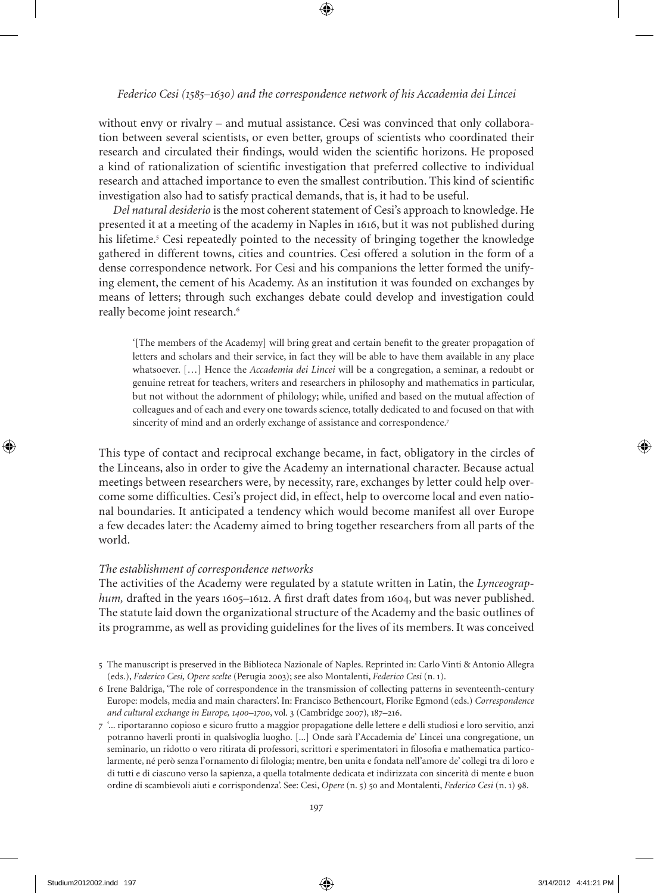without envy or rivalry – and mutual assistance. Cesi was convinced that only collaboration between several scientists, or even better, groups of scientists who coordinated their research and circulated their findings, would widen the scientific horizons. He proposed a kind of rationalization of scientific investigation that preferred collective to individual research and attached importance to even the smallest contribution. this kind of scientific investigation also had to satisfy practical demands, that is, it had to be useful.

 *Del natural desiderio* is the most coherent statement of Cesi's approach to knowledge. He presented it at a meeting of the academy in Naples in 1616, but it was not published during his lifetime. Cesi repeatedly pointed to the necessity of bringing together the knowledge gathered in different towns, cities and countries. Cesi offered a solution in the form of a dense correspondence network. For Cesi and his companions the letter formed the unifying element, the cement of his Academy. As an institution it was founded on exchanges by means of letters; through such exchanges debate could develop and investigation could really become joint research.<sup>6</sup>

'[the members of the Academy] will bring great and certain benefit to the greater propagation of letters and scholars and their service, in fact they will be able to have them available in any place whatsoever. […] Hence the *Accademia dei Lincei* will be a congregation, a seminar, a redoubt or genuine retreat for teachers, writers and researchers in philosophy and mathematics in particular, but not without the adornment of philology; while, unified and based on the mutual affection of colleagues and of each and every one towards science, totally dedicated to and focused on that with sincerity of mind and an orderly exchange of assistance and correspondence.<sup>7</sup>

This type of contact and reciprocal exchange became, in fact, obligatory in the circles of the Linceans, also in order to give the Academy an international character. Because actual meetings between researchers were, by necessity, rare, exchanges by letter could help overcome some difficulties. Cesi's project did, in effect, help to overcome local and even national boundaries. It anticipated a tendency which would become manifest all over Europe a few decades later: the Academy aimed to bring together researchers from all parts of the world.

## *The establishment of correspondence networks*

the activities of the Academy were regulated by a statute written in Latin, the *Lynceographum*, drafted in the years 1605–1612. A first draft dates from 1604, but was never published. the statute laid down the organizational structure of the Academy and the basic outlines of its programme, as well as providing guidelines for the lives of its members. It was conceived

<sup>5</sup> The manuscript is preserved in the Biblioteca Nazionale of Naples. Reprinted in: Carlo Vinti & Antonio Allegra (eds.), *Federico Cesi, Opere scelte* (Perugia 2003); see also Montalenti, *Federico Cesi* (n. 1).

<sup>6</sup> Irene Baldriga, 'the role of correspondence in the transmission of collecting patterns in seventeenth-century europe: models, media and main characters'. In: Francisco Bethencourt, Florike egmond (eds.) *Correspondence and cultural exchange in Europe, 1400–1700*, vol. 3 (Cambridge 2007), 187–216.

<sup>7</sup> '... riportaranno copioso e sicuro frutto a maggior propagatione delle lettere e delli studiosi e loro servitio, anzi potranno haverli pronti in qualsivoglia luogho. [...] onde sarà l'Accademia de' Lincei una congregatione, un seminario, un ridotto o vero ritirata di professori, scrittori e sperimentatori in filosofia e mathematica particolarmente, né però senza l'ornamento di filologia; mentre, ben unita e fondata nell'amore de' collegi tra di loro e di tutti e di ciascuno verso la sapienza, a quella totalmente dedicata et indirizzata con sincerità di mente e buon ordine di scambievoli aiuti e corrispondenza'. See: Cesi, Opere (n. 5) 50 and Montalenti, *Federico Cesi* (n. 1) 98.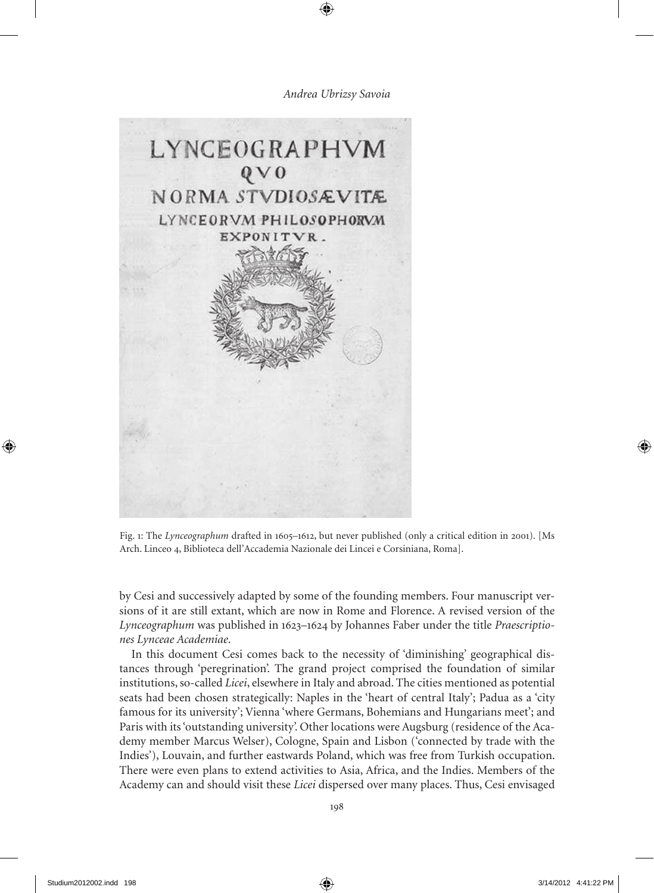

Fig. 1: The *Lynceographum* drafted in 1605–1612, but never published (only a critical edition in 2001). [Ms Arch. Linceo 4, Biblioteca dell'Accademia Nazionale dei Lincei e Corsiniana, Roma].

by Cesi and successively adapted by some of the founding members. Four manuscript versions of it are still extant, which are now in Rome and Florence. A revised version of the *Lynceographum* was published in 1623–1624 by Johannes Faber under the title *Praescriptiones Lynceae Academiae*.

In this document Cesi comes back to the necessity of 'diminishing' geographical distances through 'peregrination'. the grand project comprised the foundation of similar institutions, so-called *Licei*, elsewhere in Italy and abroad. the cities mentioned as potential seats had been chosen strategically: Naples in the 'heart of central Italy'; Padua as a 'city famous for its university'; Vienna 'where Germans, Bohemians and Hungarians meet'; and Paris with its 'outstanding university'. Other locations were Augsburg (residence of the Academy member Marcus Welser), Cologne, Spain and Lisbon ('connected by trade with the Indies'), Louvain, and further eastwards Poland, which was free from turkish occupation. There were even plans to extend activities to Asia, Africa, and the Indies. Members of the Academy can and should visit these *Licei* dispersed over many places. Thus, Cesi envisaged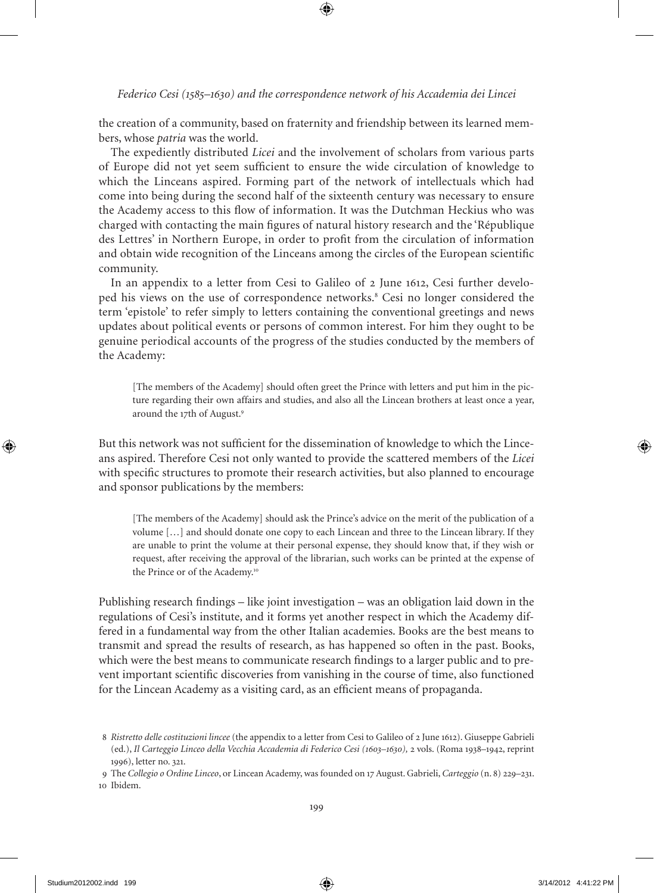*Federico Cesi (1585–1630) and the correspondence network of his Accademia dei Lincei*

the creation of a community, based on fraternity and friendship between its learned members, whose *patria* was the world.

the expediently distributed *Licei* and the involvement of scholars from various parts of europe did not yet seem sufficient to ensure the wide circulation of knowledge to which the Linceans aspired. Forming part of the network of intellectuals which had come into being during the second half of the sixteenth century was necessary to ensure the Academy access to this flow of information. It was the Dutchman Heckius who was charged with contacting the main figures of natural history research and the 'République des Lettres' in Northern europe, in order to profit from the circulation of information and obtain wide recognition of the Linceans among the circles of the european scientific community.

In an appendix to a letter from Cesi to Galileo of 2 June 1612, Cesi further developed his views on the use of correspondence networks.<sup>8</sup> Cesi no longer considered the term 'epistole' to refer simply to letters containing the conventional greetings and news updates about political events or persons of common interest. For him they ought to be genuine periodical accounts of the progress of the studies conducted by the members of the Academy:

[The members of the Academy] should often greet the Prince with letters and put him in the picture regarding their own affairs and studies, and also all the Lincean brothers at least once a year, around the 17th of August.

But this network was not sufficient for the dissemination of knowledge to which the Linceans aspired. therefore Cesi not only wanted to provide the scattered members of the *Licei* with specific structures to promote their research activities, but also planned to encourage and sponsor publications by the members:

[The members of the Academy] should ask the Prince's advice on the merit of the publication of a volume […] and should donate one copy to each Lincean and three to the Lincean library. If they are unable to print the volume at their personal expense, they should know that, if they wish or request, after receiving the approval of the librarian, such works can be printed at the expense of the Prince or of the Academy.<sup>10</sup>

Publishing research findings – like joint investigation – was an obligation laid down in the regulations of Cesi's institute, and it forms yet another respect in which the Academy differed in a fundamental way from the other Italian academies. Books are the best means to transmit and spread the results of research, as has happened so often in the past. Books, which were the best means to communicate research findings to a larger public and to prevent important scientific discoveries from vanishing in the course of time, also functioned for the Lincean Academy as a visiting card, as an efficient means of propaganda.

<sup>8</sup> *Ristretto delle costituzioni lincee* (the appendix to a letter from Cesi to Galileo of 2 June 1612). Giuseppe Gabrieli (ed.), *Il Carteggio Linceo della Vecchia Accademia di Federico Cesi (1603–1630),* 2 vols. (Roma 138–142, reprint 16), letter no. 321.

the *Collegio o Ordine Linceo*, or Lincean Academy, was founded on 17 August. Gabrieli, *Carteggio* (n. 8) 22–231. 10 Ibidem.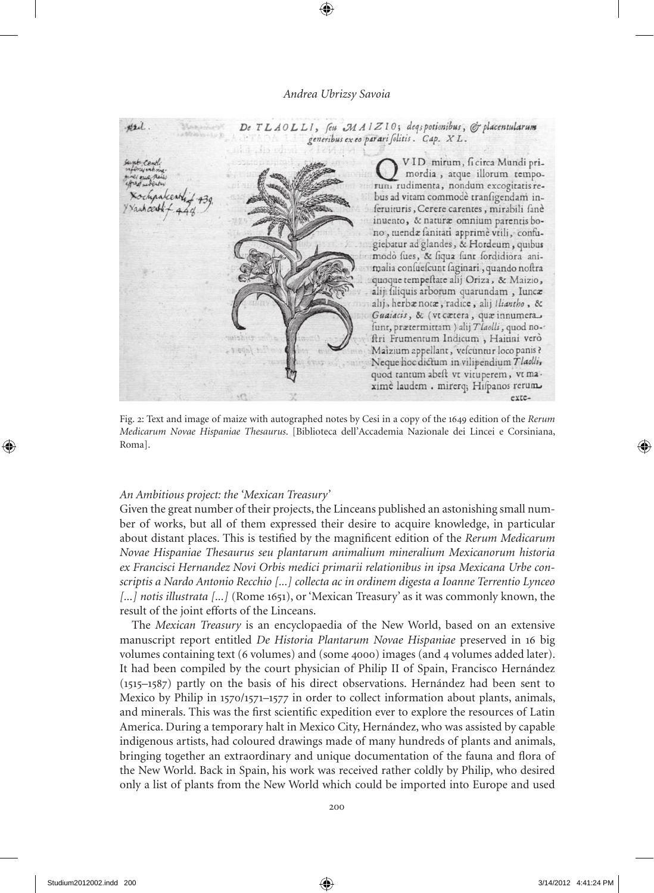

Fig. 2: Text and image of maize with autographed notes by Cesi in a copy of the 1649 edition of the *Rerum Medicarum Novae Hispaniae Thesaurus*. [Biblioteca dell'Accademia Nazionale dei Lincei e Corsiniana, Roma].

#### *An Ambitious project: the 'Mexican Treasury'*

Given the great number of their projects, the Linceans published an astonishing small number of works, but all of them expressed their desire to acquire knowledge, in particular about distant places. This is testified by the magnificent edition of the *Rerum Medicarum Novae Hispaniae Thesaurus seu plantarum animalium mineralium Mexicanorum historia ex Francisci Hernandez Novi Orbis medici primarii relationibus in ipsa Mexicana Urbe conscriptis a Nardo Antonio Recchio [...] collecta ac in ordinem digesta a Ioanne Terrentio Lynceo [...] notis illustrata [...]* (Rome 1651), or 'Mexican Treasury' as it was commonly known, the result of the joint efforts of the Linceans.

the *Mexican Treasury* is an encyclopaedia of the New World, based on an extensive manuscript report entitled *De Historia Plantarum Novae Hispaniae* preserved in 16 big volumes containing text (6 volumes) and (some 4000) images (and 4 volumes added later). It had been compiled by the court physician of Philip II of Spain, Francisco Hernández  $(1515-1587)$  partly on the basis of his direct observations. Hernández had been sent to Mexico by Philip in 1570/1571–1577 in order to collect information about plants, animals, and minerals. this was the first scientific expedition ever to explore the resources of Latin America. During a temporary halt in Mexico City, Hernández, who was assisted by capable indigenous artists, had coloured drawings made of many hundreds of plants and animals, bringing together an extraordinary and unique documentation of the fauna and flora of the New World. Back in Spain, his work was received rather coldly by Philip, who desired only a list of plants from the New World which could be imported into Europe and used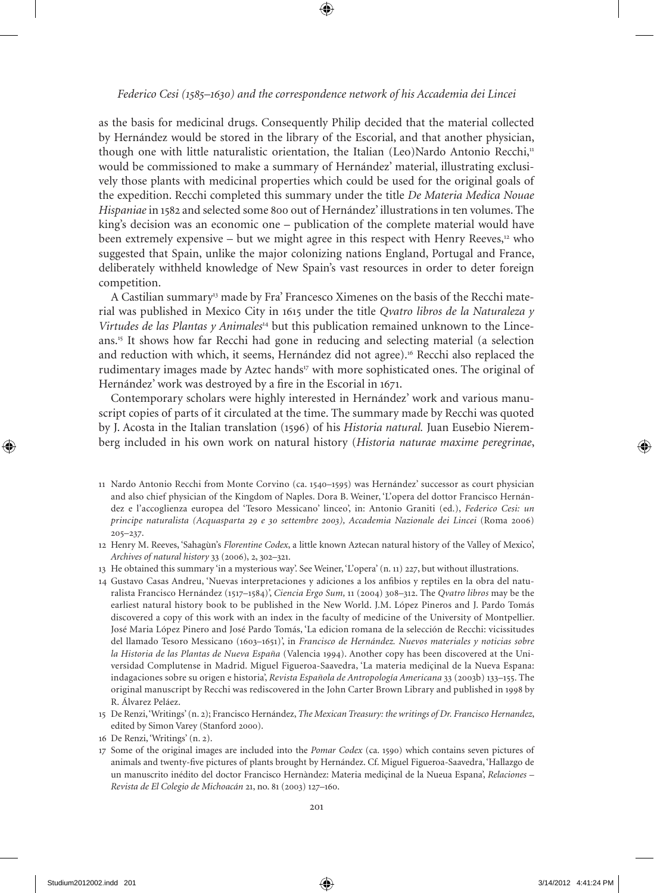as the basis for medicinal drugs. Consequently Philip decided that the material collected by Hernández would be stored in the library of the Escorial, and that another physician, though one with little naturalistic orientation, the Italian (Leo)Nardo Antonio Recchi, $<sup>n</sup>$ </sup> would be commissioned to make a summary of Hernández' material, illustrating exclusively those plants with medicinal properties which could be used for the original goals of the expedition. Recchi completed this summary under the title *De Materia Medica Nouae Hispaniae* in 182 and selected some 800 out of Hernández' illustrations in ten volumes. the king's decision was an economic one – publication of the complete material would have been extremely expensive – but we might agree in this respect with Henry Reeves, $12$  who suggested that Spain, unlike the major colonizing nations england, Portugal and France, deliberately withheld knowledge of New Spain's vast resources in order to deter foreign competition.

A Castilian summary13 made by Fra' Francesco Ximenes on the basis of the Recchi material was published in Mexico City in 1615 under the title *Qvatro libros de la Naturaleza y Virtudes de las Plantas y Animales*14 but this publication remained unknown to the Linceans.1 It shows how far Recchi had gone in reducing and selecting material (a selection and reduction with which, it seems, Hernández did not agree).<sup>16</sup> Recchi also replaced the rudimentary images made by Aztec hands<sup>17</sup> with more sophisticated ones. The original of Hernández' work was destroyed by a fire in the Escorial in 1671.

Contemporary scholars were highly interested in Hernández' work and various manuscript copies of parts of it circulated at the time. The summary made by Recchi was quoted by J. Acosta in the Italian translation (1596) of his *Historia natural*. Juan Eusebio Nieremberg included in his own work on natural history (*Historia naturae maxime peregrinae*,

- 13 He obtained this summary 'in a mysterious way'. See Weiner, 'L'opera' (n. 11) 227, but without illustrations.
- 14 Gustavo Casas Andreu, 'Nuevas interpretaciones y adiciones a los anfibios y reptiles en la obra del naturalista Francisco Hernández (117–184)', *Ciencia Ergo Sum,* 11 (2004) 308–312. the *Qvatro libros* may be the earliest natural history book to be published in the New World. J.M. López Pineros and J. Pardo Tomás discovered a copy of this work with an index in the faculty of medicine of the University of Montpellier. José Maria López Pinero and José Pardo Tomás, 'La edicion romana de la selección de Recchi: vicissitudes del llamado tesoro Messicano (1603–161)', in *Francisco de Hernández. Nuevos materiales y noticias sobre la Historia de las Plantas de Nueva España* (Valencia 1994). Another copy has been discovered at the Universidad Complutense in Madrid. Miguel Figueroa-Saavedra, 'La materia mediçinal de la Nueva espana: indagaciones sobre su origen e historia', *Revista Española de Antropología Americana* 33 (2003b) 133–155. The original manuscript by Recchi was rediscovered in the John Carter Brown Library and published in 1998 by R. Álvarez Peláez.
- 15 De Renzi, 'Writings' (n. 2); Francisco Hernández, *The Mexican Treasury: the writings of Dr. Francisco Hernandez*, edited by Simon Varey (Stanford 2000).
- 16 de Renzi, 'Writings' (n. 2).
- 17 Some of the original images are included into the *Pomar Codex* (ca. 1590) which contains seven pictures of animals and twenty-five pictures of plants brought by Hernández. Cf. Miguel Figueroa-Saavedra, 'Hallazgo de un manuscrito inédito del doctor Francisco Hernàndez: Materia mediçinal de la Nueua espana', *Relaciones – Revista de El Colegio de Michoacán* 21, no. 81 (2003) 127–160.

<sup>11</sup> Nardo Antonio Recchi from Monte Corvino (ca. 1540–1595) was Hernández' successor as court physician and also chief physician of the Kingdom of Naples. Dora B. Weiner, 'L'opera del dottor Francisco Hernández e l'accoglienza europea del 'tesoro Messicano' linceo', in: Antonio Graniti (ed.), *Federico Cesi: un principe naturalista (Acquasparta 29 e 30 settembre 2003), Accademia Nazionale dei Lincei* (Roma 2006)  $205 - 237.$ 

<sup>12</sup> Henry M. Reeves, 'Sahagùn's *Florentine Codex*, a little known Aztecan natural history of the Valley of Mexico', *Archives of natural history* 33 (2006), 2, 302–321.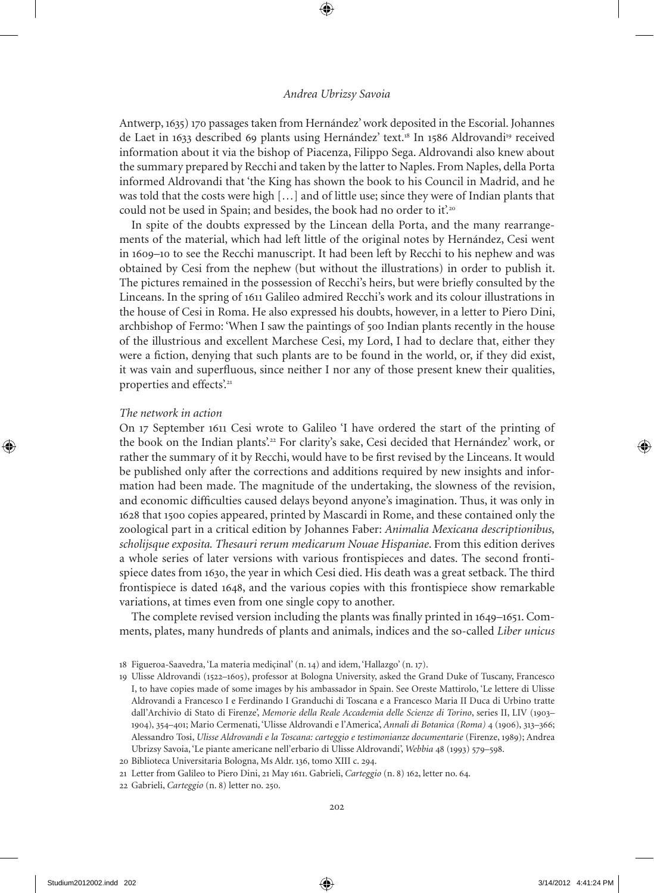Antwerp, 163) 170 passages taken from Hernández' work deposited in the escorial. Johannes de Laet in 1633 described 69 plants using Hernández' text.<sup>18</sup> In 1586 Aldrovandi<sup>19</sup> received information about it via the bishop of Piacenza, Filippo Sega. Aldrovandi also knew about the summary prepared by Recchi and taken by the latter to Naples. From Naples, della Porta informed Aldrovandi that 'the King has shown the book to his Council in Madrid, and he was told that the costs were high […] and of little use; since they were of Indian plants that could not be used in Spain; and besides, the book had no order to it'.<sup>20</sup>

In spite of the doubts expressed by the Lincean della Porta, and the many rearrangements of the material, which had left little of the original notes by Hernández, Cesi went in 1609–10 to see the Recchi manuscript. It had been left by Recchi to his nephew and was obtained by Cesi from the nephew (but without the illustrations) in order to publish it. the pictures remained in the possession of Recchi's heirs, but were briefly consulted by the Linceans. In the spring of 1611 Galileo admired Recchi's work and its colour illustrations in the house of Cesi in Roma. He also expressed his doubts, however, in a letter to Piero Dini, archbishop of Fermo: 'When I saw the paintings of 500 Indian plants recently in the house of the illustrious and excellent Marchese Cesi, my Lord, I had to declare that, either they were a fiction, denying that such plants are to be found in the world, or, if they did exist, it was vain and superfluous, since neither I nor any of those present knew their qualities, properties and effects'.<sup>21</sup>

## *The network in action*

on 17 September 1611 Cesi wrote to Galileo 'I have ordered the start of the printing of the book on the Indian plants'.<sup>22</sup> For clarity's sake, Cesi decided that Hernández' work, or rather the summary of it by Recchi, would have to be first revised by the Linceans. It would be published only after the corrections and additions required by new insights and information had been made. the magnitude of the undertaking, the slowness of the revision, and economic difficulties caused delays beyond anyone's imagination. thus, it was only in 1628 that 100 copies appeared, printed by Mascardi in Rome, and these contained only the zoological part in a critical edition by Johannes Faber: *Animalia Mexicana descriptionibus, scholijsque exposita. Thesauri rerum medicarum Nouae Hispaniae*. From this edition derives a whole series of later versions with various frontispieces and dates. the second frontispiece dates from 1630, the year in which Cesi died. His death was a great setback. The third frontispiece is dated 1648, and the various copies with this frontispiece show remarkable variations, at times even from one single copy to another.

The complete revised version including the plants was finally printed in  $1649-1651$ . Comments, plates, many hundreds of plants and animals, indices and the so-called *Liber unicus*

<sup>18</sup> Figueroa-Saavedra, 'La materia mediçinal' (n. 14) and idem, 'Hallazgo' (n. 17).

<sup>19</sup> Ulisse Aldrovandi (1522–1605), professor at Bologna University, asked the Grand Duke of Tuscany, Francesco I, to have copies made of some images by his ambassador in Spain. See oreste Mattirolo, 'Le lettere di Ulisse Aldrovandi a Francesco I e Ferdinando I Granduchi di Toscana e a Francesco Maria II Duca di Urbino tratte dall'Archivio di Stato di Firenze', *Memorie della Reale Accademia delle Scienze di Torino*, series II, LIV (1903-104), 34–401; Mario Cermenati, 'Ulisse Aldrovandi e l'America', *Annali di Botanica (Roma)* 4 (106), 313–366; Alessandro tosi, *Ulisse Aldrovandi e la Toscana: carteggio e testimonianze documentarie* (Firenze, 18); Andrea Ubrizsy Savoia, 'Le piante americane nell'erbario di Ulisse Aldrovandi', *Webbia 48* (1993) 579–598.

<sup>20</sup> Biblioteca Universitaria Bologna, Ms Aldr. 136, tomo XIII c. 24.

<sup>21</sup> Letter from Galileo to Piero dini, 21 May 1611. Gabrieli, *Carteggio* (n. 8) 162, letter no. 64.

<sup>22</sup> Gabrieli, *Carteggio* (n. 8) letter no. 250.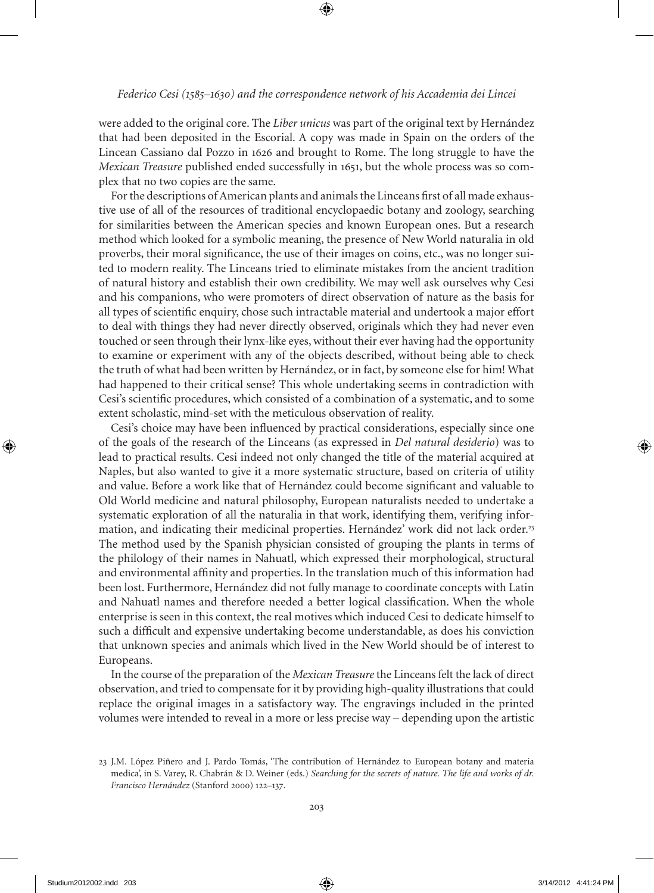were added to the original core. the *Liber unicus* was part of the original text by Hernández that had been deposited in the escorial. A copy was made in Spain on the orders of the Lincean Cassiano dal Pozzo in 1626 and brought to Rome. The long struggle to have the *Mexican Treasure* published ended successfully in 1651, but the whole process was so complex that no two copies are the same.

For the descriptions of American plants and animals the Linceans first of all made exhaustive use of all of the resources of traditional encyclopaedic botany and zoology, searching for similarities between the American species and known european ones. But a research method which looked for a symbolic meaning, the presence of New World naturalia in old proverbs, their moral significance, the use of their images on coins, etc., was no longer suited to modern reality. The Linceans tried to eliminate mistakes from the ancient tradition of natural history and establish their own credibility. We may well ask ourselves why Cesi and his companions, who were promoters of direct observation of nature as the basis for all types of scientific enquiry, chose such intractable material and undertook a major effort to deal with things they had never directly observed, originals which they had never even touched or seen through their lynx-like eyes, without their ever having had the opportunity to examine or experiment with any of the objects described, without being able to check the truth of what had been written by Hernández, or in fact, by someone else for him! What had happened to their critical sense? This whole undertaking seems in contradiction with Cesi's scientific procedures, which consisted of a combination of a systematic, and to some extent scholastic, mind-set with the meticulous observation of reality.

Cesi's choice may have been influenced by practical considerations, especially since one of the goals of the research of the Linceans (as expressed in *Del natural desiderio*) was to lead to practical results. Cesi indeed not only changed the title of the material acquired at Naples, but also wanted to give it a more systematic structure, based on criteria of utility and value. Before a work like that of Hernández could become significant and valuable to old World medicine and natural philosophy, european naturalists needed to undertake a systematic exploration of all the naturalia in that work, identifying them, verifying information, and indicating their medicinal properties. Hernández' work did not lack order.<sup>23</sup> The method used by the Spanish physician consisted of grouping the plants in terms of the philology of their names in Nahuatl, which expressed their morphological, structural and environmental affinity and properties. In the translation much of this information had been lost. Furthermore, Hernández did not fully manage to coordinate concepts with Latin and Nahuatl names and therefore needed a better logical classification. When the whole enterprise is seen in this context, the real motives which induced Cesi to dedicate himself to such a difficult and expensive undertaking become understandable, as does his conviction that unknown species and animals which lived in the New World should be of interest to Europeans.

In the course of the preparation of the *Mexican Treasure* the Linceans felt the lack of direct observation, and tried to compensate for it by providing high-quality illustrations that could replace the original images in a satisfactory way. the engravings included in the printed volumes were intended to reveal in a more or less precise way – depending upon the artistic

<sup>23</sup> J.M. López Piñero and J. Pardo Tomás, 'The contribution of Hernández to European botany and materia medica', in S. Varey, R. Chabrán & D. Weiner (eds.) Searching for the secrets of nature. The life and works of dr. *Francisco Hernández* (Stanford 2000) 122–137.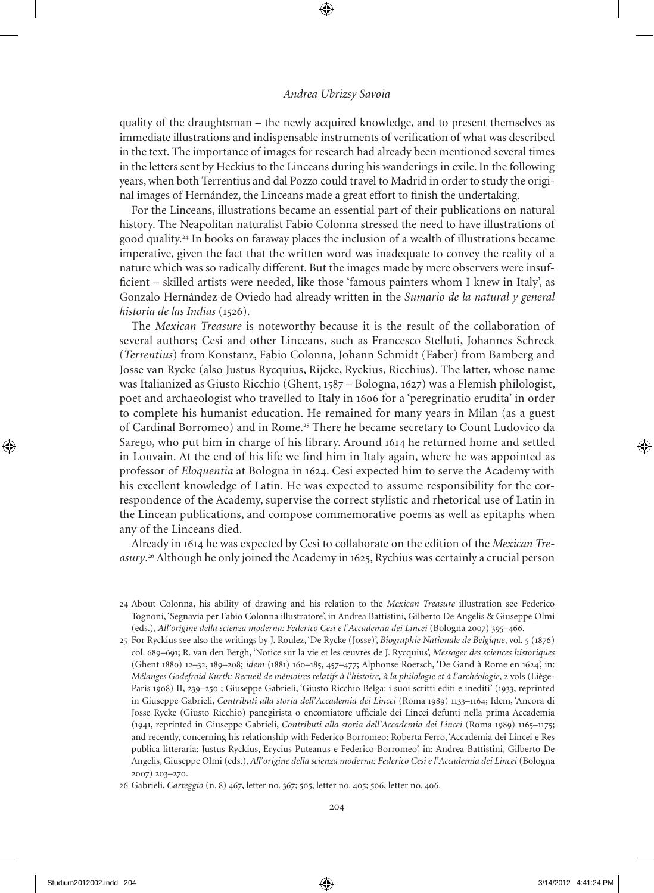quality of the draughtsman – the newly acquired knowledge, and to present themselves as immediate illustrations and indispensable instruments of verification of what was described in the text. The importance of images for research had already been mentioned several times in the letters sent by Heckius to the Linceans during his wanderings in exile. In the following years, when both Terrentius and dal Pozzo could travel to Madrid in order to study the original images of Hernández, the Linceans made a great effort to finish the undertaking.

For the Linceans, illustrations became an essential part of their publications on natural history. The Neapolitan naturalist Fabio Colonna stressed the need to have illustrations of good quality.<sup>24</sup> In books on faraway places the inclusion of a wealth of illustrations became imperative, given the fact that the written word was inadequate to convey the reality of a nature which was so radically different. But the images made by mere observers were insufficient – skilled artists were needed, like those 'famous painters whom I knew in Italy', as Gonzalo Hernández de Oviedo had already written in the *Sumario de la natural y general historia de las Indias* (1526).

the *Mexican Treasure* is noteworthy because it is the result of the collaboration of several authors; Cesi and other Linceans, such as Francesco Stelluti, Johannes Schreck (*Terrentius*) from Konstanz, Fabio Colonna, Johann Schmidt (Faber) from Bamberg and Josse van Rycke (also Justus Rycquius, Rijcke, Ryckius, Ricchius). The latter, whose name was Italianized as Giusto Ricchio (Ghent, 187 – Bologna, 1627) was a Flemish philologist, poet and archaeologist who travelled to Italy in 1606 for a 'peregrinatio erudita' in order to complete his humanist education. He remained for many years in Milan (as a guest of Cardinal Borromeo) and in Rome.<sup>25</sup> There he became secretary to Count Ludovico da Sarego, who put him in charge of his library. Around 1614 he returned home and settled in Louvain. At the end of his life we find him in Italy again, where he was appointed as professor of *Eloquentia* at Bologna in 1624. Cesi expected him to serve the Academy with his excellent knowledge of Latin. He was expected to assume responsibility for the correspondence of the Academy, supervise the correct stylistic and rhetorical use of Latin in the Lincean publications, and compose commemorative poems as well as epitaphs when any of the Linceans died.

Already in 1614 he was expected by Cesi to collaborate on the edition of the *Mexican Tre*asury.<sup>26</sup> Although he only joined the Academy in 1625, Rychius was certainly a crucial person

<sup>24</sup> About Colonna, his ability of drawing and his relation to the *Mexican Treasure* illustration see Federico tognoni, 'Segnavia per Fabio Colonna illustratore', in Andrea Battistini, Gilberto de Angelis & Giuseppe olmi (eds.), *All'origine della scienza moderna: Federico Cesi e l'Accademia dei Lincei* (Bologna 2007) 3–466.

<sup>2</sup> For Ryckius see also the writings by J. Roulez, 'de Rycke (Josse)', *Biographie Nationale de Belgique*, vol. (1876) col. 68–61; R. van den Bergh, 'Notice sur la vie et les œuvres de J. Rycquius', *Messager des sciences historiques* (Ghent 1880) 12–32, 189–208; *idem* (1881) 160–185, 457–477; Alphonse Roersch, 'De Gand à Rome en 1624', in: *Mélanges Godefroid Kurth: Recueil de mémoires relatifs à l'histoire, à la philologie et à l'archéologie*, 2 vols (Liège-Paris 1908) II, 239–250 ; Giuseppe Gabrieli, 'Giusto Ricchio Belga: i suoi scritti editi e inediti' (1933, reprinted in Giuseppe Gabrieli, *Contributi alla storia dell'Accademia dei Lincei* (Roma 18) 1133–1164; Idem, 'Ancora di Josse Rycke (Giusto Ricchio) panegirista o encomiatore ufficiale dei Lincei defunti nella prima Accademia (141, reprinted in Giuseppe Gabrieli, *Contributi alla storia dell'Accademia dei Lincei* (Roma 18) 116–117; and recently, concerning his relationship with Federico Borromeo: Roberta Ferro, 'Accademia dei Lincei e Res publica litteraria: Justus Ryckius, Erycius Puteanus e Federico Borromeo', in: Andrea Battistini, Gilberto De Angelis, Giuseppe olmi (eds.), *All'origine della scienza moderna: Federico Cesi e l'Accademia dei Lincei* (Bologna 2007) 203–270.

<sup>26</sup> Gabrieli, *Carteggio* (n. 8) 467, letter no. 367; 505, letter no. 405; 506, letter no. 406.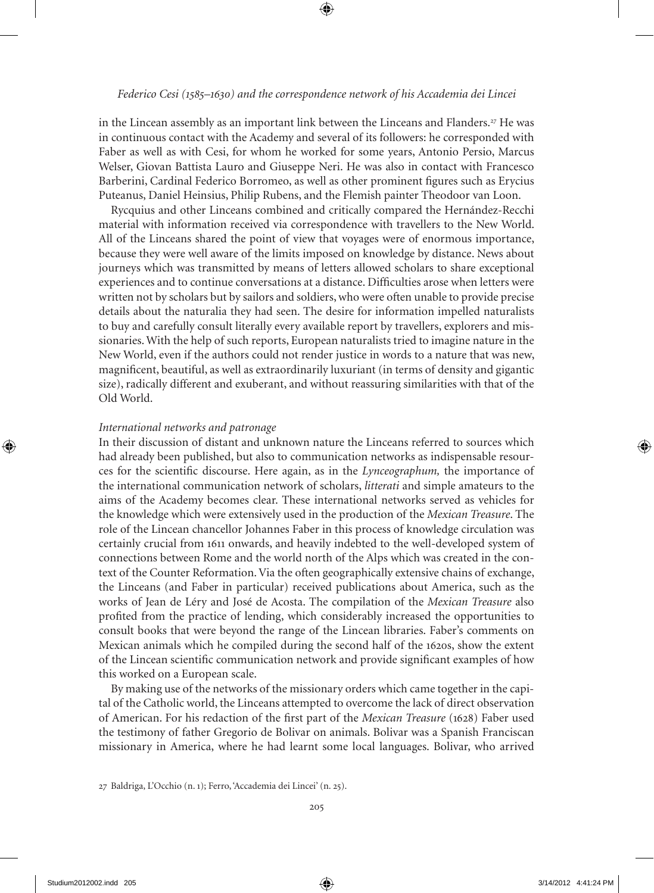in the Lincean assembly as an important link between the Linceans and Flanders.<sup>27</sup> He was in continuous contact with the Academy and several of its followers: he corresponded with Faber as well as with Cesi, for whom he worked for some years, Antonio Persio, Marcus Welser, Giovan Battista Lauro and Giuseppe Neri. He was also in contact with Francesco Barberini, Cardinal Federico Borromeo, as well as other prominent figures such as Erycius Puteanus, Daniel Heinsius, Philip Rubens, and the Flemish painter Theodoor van Loon.

Rycquius and other Linceans combined and critically compared the Hernández-Recchi material with information received via correspondence with travellers to the New World. All of the Linceans shared the point of view that voyages were of enormous importance, because they were well aware of the limits imposed on knowledge by distance. News about journeys which was transmitted by means of letters allowed scholars to share exceptional experiences and to continue conversations at a distance. Difficulties arose when letters were written not by scholars but by sailors and soldiers, who were often unable to provide precise details about the naturalia they had seen. the desire for information impelled naturalists to buy and carefully consult literally every available report by travellers, explorers and missionaries. With the help of such reports, European naturalists tried to imagine nature in the New World, even if the authors could not render justice in words to a nature that was new, magnificent, beautiful, as well as extraordinarily luxuriant (in terms of density and gigantic size), radically different and exuberant, and without reassuring similarities with that of the old World.

#### *International networks and patronage*

In their discussion of distant and unknown nature the Linceans referred to sources which had already been published, but also to communication networks as indispensable resources for the scientific discourse. Here again, as in the *Lynceographum,* the importance of the international communication network of scholars, *litterati* and simple amateurs to the aims of the Academy becomes clear. these international networks served as vehicles for the knowledge which were extensively used in the production of the *Mexican Treasure*. the role of the Lincean chancellor Johannes Faber in this process of knowledge circulation was certainly crucial from 1611 onwards, and heavily indebted to the well-developed system of connections between Rome and the world north of the Alps which was created in the context of the Counter Reformation. Via the often geographically extensive chains of exchange, the Linceans (and Faber in particular) received publications about America, such as the works of Jean de Léry and José de Acosta. the compilation of the *Mexican Treasure* also profited from the practice of lending, which considerably increased the opportunities to consult books that were beyond the range of the Lincean libraries. Faber's comments on Mexican animals which he compiled during the second half of the 1620s, show the extent of the Lincean scientific communication network and provide significant examples of how this worked on a European scale.

By making use of the networks of the missionary orders which came together in the capital of the Catholic world, the Linceans attempted to overcome the lack of direct observation of American. For his redaction of the first part of the *Mexican Treasure* (1628) Faber used the testimony of father Gregorio de Bolivar on animals. Bolivar was a Spanish Franciscan missionary in America, where he had learnt some local languages. Bolivar, who arrived

<sup>27</sup> Baldriga, L'Occhio (n. 1); Ferro, 'Accademia dei Lincei' (n. 25).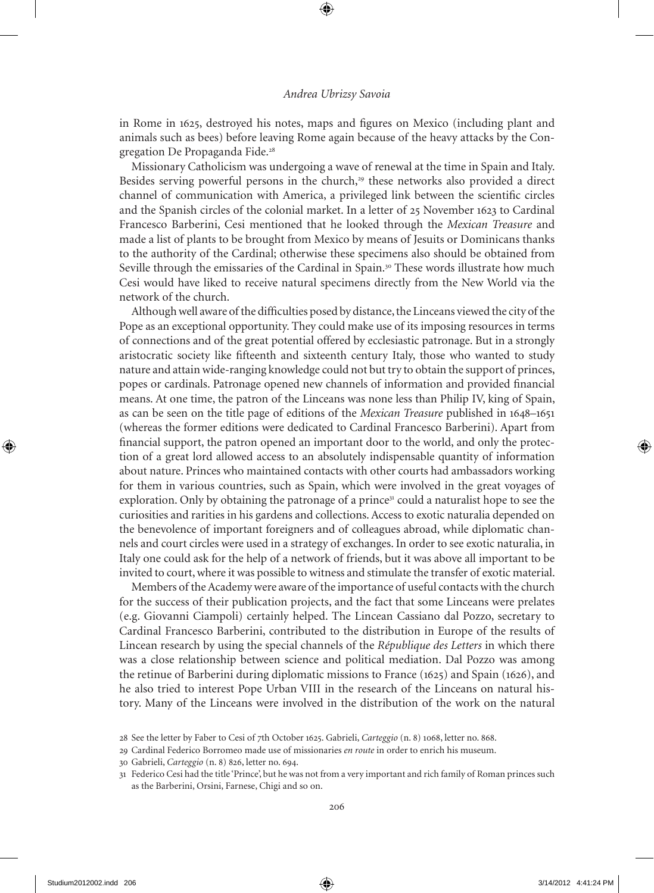in Rome in 1625, destroyed his notes, maps and figures on Mexico (including plant and animals such as bees) before leaving Rome again because of the heavy attacks by the Congregation De Propaganda Fide.<sup>28</sup>

Missionary Catholicism was undergoing a wave of renewal at the time in Spain and Italy. Besides serving powerful persons in the church, $29$  these networks also provided a direct channel of communication with America, a privileged link between the scientific circles and the Spanish circles of the colonial market. In a letter of 25 November 1623 to Cardinal Francesco Barberini, Cesi mentioned that he looked through the *Mexican Treasure* and made a list of plants to be brought from Mexico by means of Jesuits or Dominicans thanks to the authority of the Cardinal; otherwise these specimens also should be obtained from Seville through the emissaries of the Cardinal in Spain.<sup>30</sup> These words illustrate how much Cesi would have liked to receive natural specimens directly from the New World via the network of the church.

Although well aware of the difficulties posed by distance, the Linceans viewed the city of the Pope as an exceptional opportunity. They could make use of its imposing resources in terms of connections and of the great potential offered by ecclesiastic patronage. But in a strongly aristocratic society like fifteenth and sixteenth century Italy, those who wanted to study nature and attain wide-ranging knowledge could not but try to obtain the support of princes, popes or cardinals. Patronage opened new channels of information and provided financial means. At one time, the patron of the Linceans was none less than Philip IV, king of Spain, as can be seen on the title page of editions of the *Mexican Treasure* published in 1648–161 (whereas the former editions were dedicated to Cardinal Francesco Barberini). Apart from financial support, the patron opened an important door to the world, and only the protection of a great lord allowed access to an absolutely indispensable quantity of information about nature. Princes who maintained contacts with other courts had ambassadors working for them in various countries, such as Spain, which were involved in the great voyages of exploration. Only by obtaining the patronage of a prince<sup>31</sup> could a naturalist hope to see the curiosities and rarities in his gardens and collections. Access to exotic naturalia depended on the benevolence of important foreigners and of colleagues abroad, while diplomatic channels and court circles were used in a strategy of exchanges. In order to see exotic naturalia, in Italy one could ask for the help of a network of friends, but it was above all important to be invited to court, where it was possible to witness and stimulate the transfer of exotic material.

Members of the Academy were aware of the importance of useful contacts with the church for the success of their publication projects, and the fact that some Linceans were prelates (e.g. Giovanni Ciampoli) certainly helped. the Lincean Cassiano dal Pozzo, secretary to Cardinal Francesco Barberini, contributed to the distribution in Europe of the results of Lincean research by using the special channels of the *République des Letters* in which there was a close relationship between science and political mediation. dal Pozzo was among the retinue of Barberini during diplomatic missions to France (1625) and Spain (1626), and he also tried to interest Pope Urban VIII in the research of the Linceans on natural history. Many of the Linceans were involved in the distribution of the work on the natural

<sup>28</sup> See the letter by Faber to Cesi of 7th october 162. Gabrieli, *Carteggio* (n. 8) 1068, letter no. 868.

<sup>2</sup> Cardinal Federico Borromeo made use of missionaries *en route* in order to enrich his museum.

<sup>30</sup> Gabrieli, *Carteggio* (n. 8) 826, letter no. 64.

<sup>31</sup> Federico Cesi had the title 'Prince', but he was not from a very important and rich family of Roman princes such as the Barberini, Orsini, Farnese, Chigi and so on.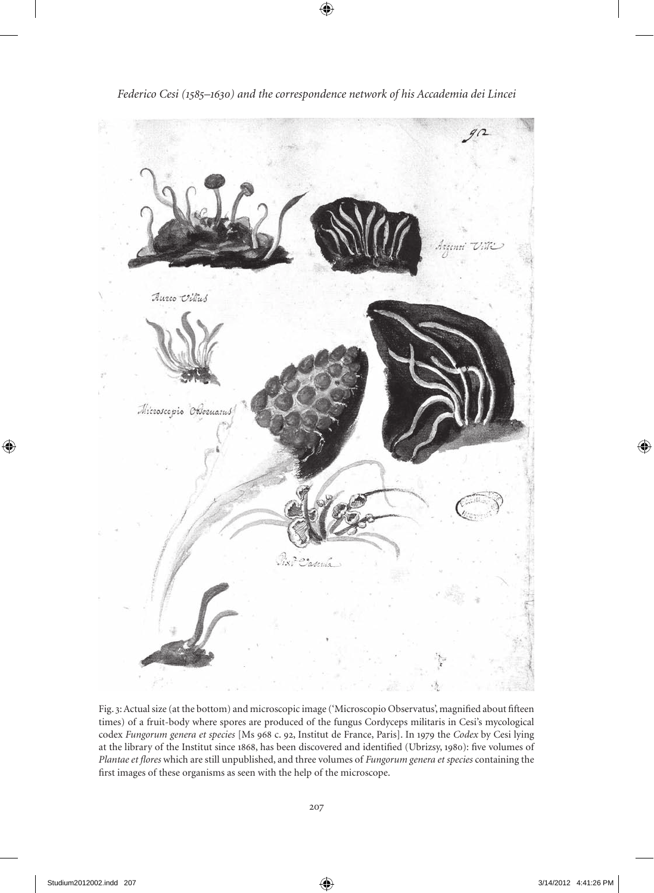

*Federico Cesi (1585–1630) and the correspondence network of his Accademia dei Lincei*

Fig. 3: Actual size (at the bottom) and microscopic image ('Microscopio observatus', magnified about fifteen times) of a fruit-body where spores are produced of the fungus Cordyceps militaris in Cesi's mycological codex *Fungorum genera et species* [Ms 968 c. 92, Institut de France, Paris]. In 1979 the *Codex* by Cesi lying at the library of the Institut since 1868, has been discovered and identified (Ubrizsy, 180): five volumes of *Plantae et flores* which are still unpublished, and three volumes of *Fungorum genera et species* containing the first images of these organisms as seen with the help of the microscope.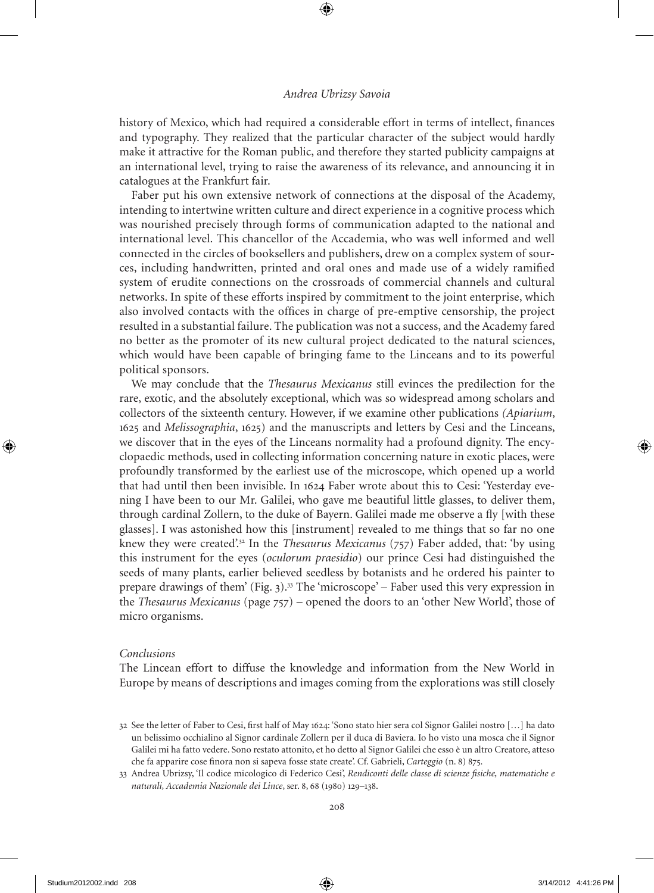history of Mexico, which had required a considerable effort in terms of intellect, finances and typography. They realized that the particular character of the subject would hardly make it attractive for the Roman public, and therefore they started publicity campaigns at an international level, trying to raise the awareness of its relevance, and announcing it in catalogues at the Frankfurt fair.

Faber put his own extensive network of connections at the disposal of the Academy, intending to intertwine written culture and direct experience in a cognitive process which was nourished precisely through forms of communication adapted to the national and international level. This chancellor of the Accademia, who was well informed and well connected in the circles of booksellers and publishers, drew on a complex system of sources, including handwritten, printed and oral ones and made use of a widely ramified system of erudite connections on the crossroads of commercial channels and cultural networks. In spite of these efforts inspired by commitment to the joint enterprise, which also involved contacts with the offices in charge of pre-emptive censorship, the project resulted in a substantial failure. The publication was not a success, and the Academy fared no better as the promoter of its new cultural project dedicated to the natural sciences, which would have been capable of bringing fame to the Linceans and to its powerful political sponsors.

We may conclude that the *Thesaurus Mexicanus* still evinces the predilection for the rare, exotic, and the absolutely exceptional, which was so widespread among scholars and collectors of the sixteenth century. However, if we examine other publications *(Apiarium*, 1625 and *Melissographia*, 1625) and the manuscripts and letters by Cesi and the Linceans, we discover that in the eyes of the Linceans normality had a profound dignity. The encyclopaedic methods, used in collecting information concerning nature in exotic places, were profoundly transformed by the earliest use of the microscope, which opened up a world that had until then been invisible. In 1624 Faber wrote about this to Cesi: 'Yesterday evening I have been to our Mr. Galilei, who gave me beautiful little glasses, to deliver them, through cardinal zollern, to the duke of Bayern. Galilei made me observe a fly [with these glasses]. I was astonished how this [instrument] revealed to me things that so far no one knew they were created'.<sup>32</sup> In the *Thesaurus Mexicanus* (757) Faber added, that: 'by using this instrument for the eyes (*oculorum praesidio*) our prince Cesi had distinguished the seeds of many plants, earlier believed seedless by botanists and he ordered his painter to prepare drawings of them' (Fig. 3). $^{33}$  The 'microscope' – Faber used this very expression in the *Thesaurus Mexicanus* (page 77) – opened the doors to an 'other New World', those of micro organisms.

## *Conclusions*

The Lincean effort to diffuse the knowledge and information from the New World in Europe by means of descriptions and images coming from the explorations was still closely

<sup>32</sup> See the letter of Faber to Cesi, first half of May 1624: 'Sono stato hier sera col Signor Galilei nostro […] ha dato un belissimo occhialino al Signor cardinale zollern per il duca di Baviera. Io ho visto una mosca che il Signor Galilei mi ha fatto vedere. Sono restato attonito, et ho detto al Signor Galilei che esso è un altro Creatore, atteso che fa apparire cose finora non si sapeva fosse state create'. Cf. Gabrieli, *Carteggio* (n. 8) 875.

<sup>33</sup> Andrea Ubrizsy, 'Il codice micologico di Federico Cesi', *Rendiconti delle classe di scienze fisiche, matematiche e*  naturali, Accademia Nazionale dei Lince, ser. 8, 68 (1980) 129–138.